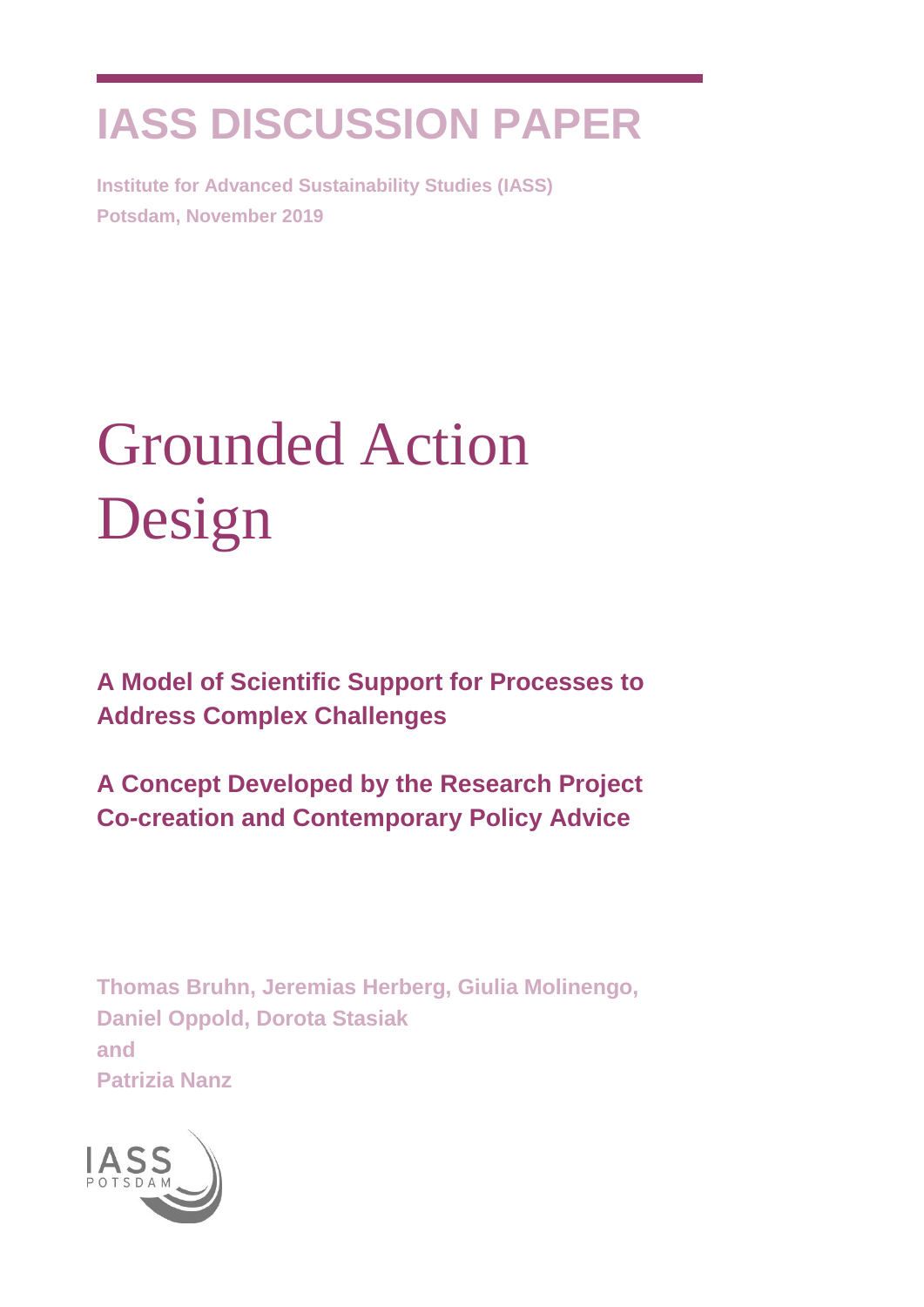# **IASS DISCUSSION PAPER**

**Institute for Advanced Sustainability Studies (IASS) Potsdam, November 2019**

# Grounded Action Design

**A Model of Scientific Support for Processes to Address Complex Challenges**

**A Concept Developed by the Research Project Co-creation and Contemporary Policy Advice**

**Thomas Bruhn, Jeremias Herberg, Giulia Molinengo, Daniel Oppold, Dorota Stasiak and Patrizia Nanz**

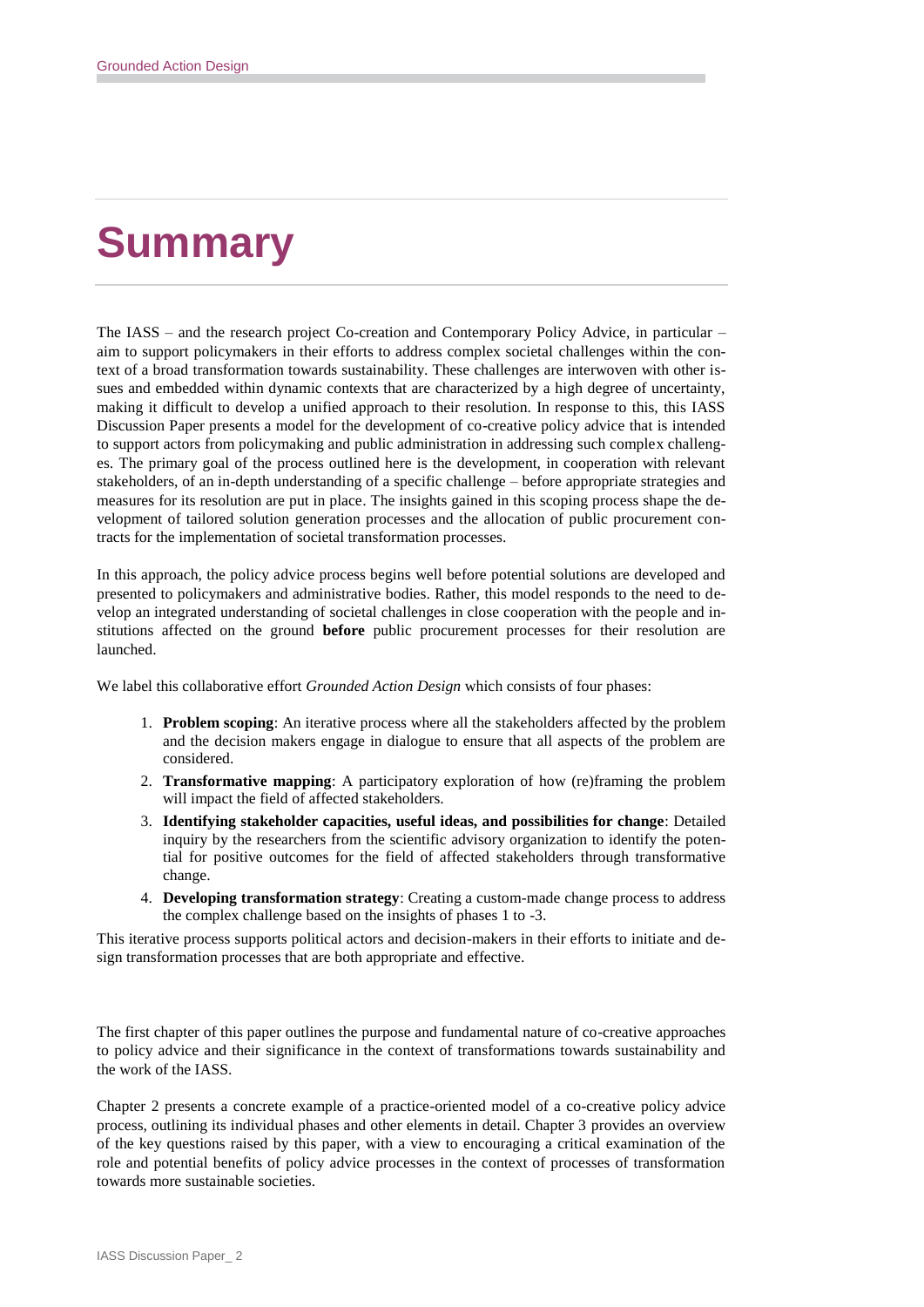# **Summary**

The IASS – and the research project Co-creation and Contemporary Policy Advice, in particular – aim to support policymakers in their efforts to address complex societal challenges within the context of a broad transformation towards sustainability. These challenges are interwoven with other issues and embedded within dynamic contexts that are characterized by a high degree of uncertainty, making it difficult to develop a unified approach to their resolution. In response to this, this IASS Discussion Paper presents a model for the development of co-creative policy advice that is intended to support actors from policymaking and public administration in addressing such complex challenges. The primary goal of the process outlined here is the development, in cooperation with relevant stakeholders, of an in-depth understanding of a specific challenge – before appropriate strategies and measures for its resolution are put in place. The insights gained in this scoping process shape the development of tailored solution generation processes and the allocation of public procurement contracts for the implementation of societal transformation processes.

In this approach, the policy advice process begins well before potential solutions are developed and presented to policymakers and administrative bodies. Rather, this model responds to the need to develop an integrated understanding of societal challenges in close cooperation with the people and institutions affected on the ground **before** public procurement processes for their resolution are launched.

We label this collaborative effort *Grounded Action Design* which consists of four phases:

- 1. **Problem scoping**: An iterative process where all the stakeholders affected by the problem and the decision makers engage in dialogue to ensure that all aspects of the problem are considered.
- 2. **Transformative mapping**: A participatory exploration of how (re)framing the problem will impact the field of affected stakeholders.
- 3. **Identifying stakeholder capacities, useful ideas, and possibilities for change**: Detailed inquiry by the researchers from the scientific advisory organization to identify the potential for positive outcomes for the field of affected stakeholders through transformative change.
- 4. **Developing transformation strategy**: Creating a custom-made change process to address the complex challenge based on the insights of phases 1 to -3.

This iterative process supports political actors and decision-makers in their efforts to initiate and design transformation processes that are both appropriate and effective.

The first chapter of this paper outlines the purpose and fundamental nature of co-creative approaches to policy advice and their significance in the context of transformations towards sustainability and the work of the IASS.

Chapter 2 presents a concrete example of a practice-oriented model of a co-creative policy advice process, outlining its individual phases and other elements in detail. Chapter 3 provides an overview of the key questions raised by this paper, with a view to encouraging a critical examination of the role and potential benefits of policy advice processes in the context of processes of transformation towards more sustainable societies.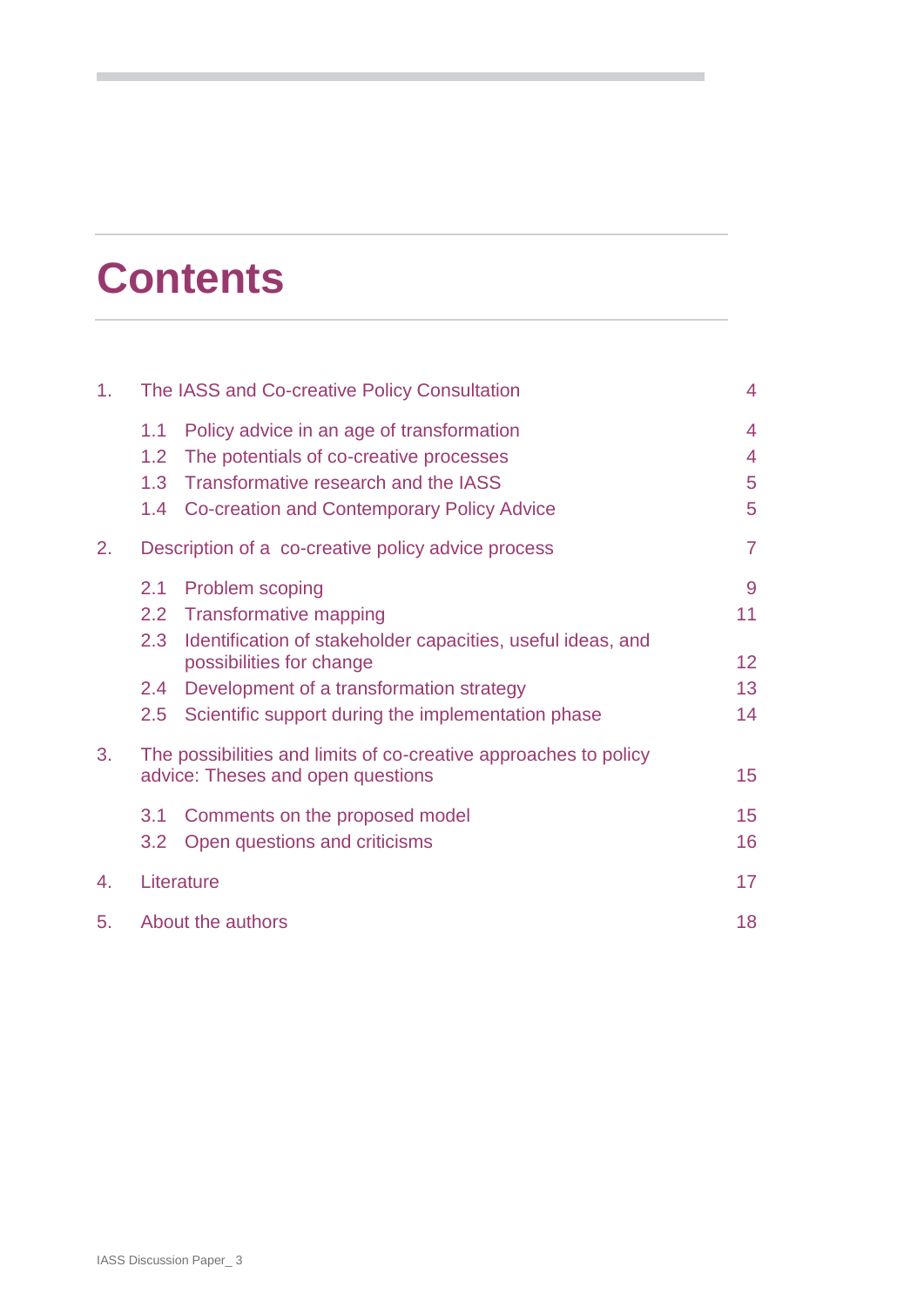# **Contents**

| 1. | The IASS and Co-creative Policy Consultation                     |                                                             | $\overline{4}$  |
|----|------------------------------------------------------------------|-------------------------------------------------------------|-----------------|
|    | 1.1                                                              | Policy advice in an age of transformation                   | $\overline{4}$  |
|    | 1.2                                                              | The potentials of co-creative processes                     | $\overline{4}$  |
|    | 1.3                                                              | Transformative research and the IASS                        | 5               |
|    | 1.4                                                              | Co-creation and Contemporary Policy Advice                  | 5               |
| 2. | Description of a co-creative policy advice process               |                                                             | $\overline{7}$  |
|    | 2.1                                                              | Problem scoping                                             | 9               |
|    | $2.2\phantom{0}$                                                 | <b>Transformative mapping</b>                               | 11              |
|    | 2.3                                                              | Identification of stakeholder capacities, useful ideas, and |                 |
|    |                                                                  | possibilities for change                                    | 12 <sub>2</sub> |
|    | $2.4^{\circ}$                                                    | Development of a transformation strategy                    | 13              |
|    | 2.5                                                              | Scientific support during the implementation phase          | 14              |
| 3. | The possibilities and limits of co-creative approaches to policy |                                                             |                 |
|    | advice: Theses and open questions                                |                                                             | 15              |
|    | 3.1                                                              | Comments on the proposed model                              | 15              |
|    | 3.2                                                              | Open questions and criticisms                               | 16              |
| 4. | Literature                                                       |                                                             | 17              |
| 5. | About the authors                                                |                                                             | 18              |
|    |                                                                  |                                                             |                 |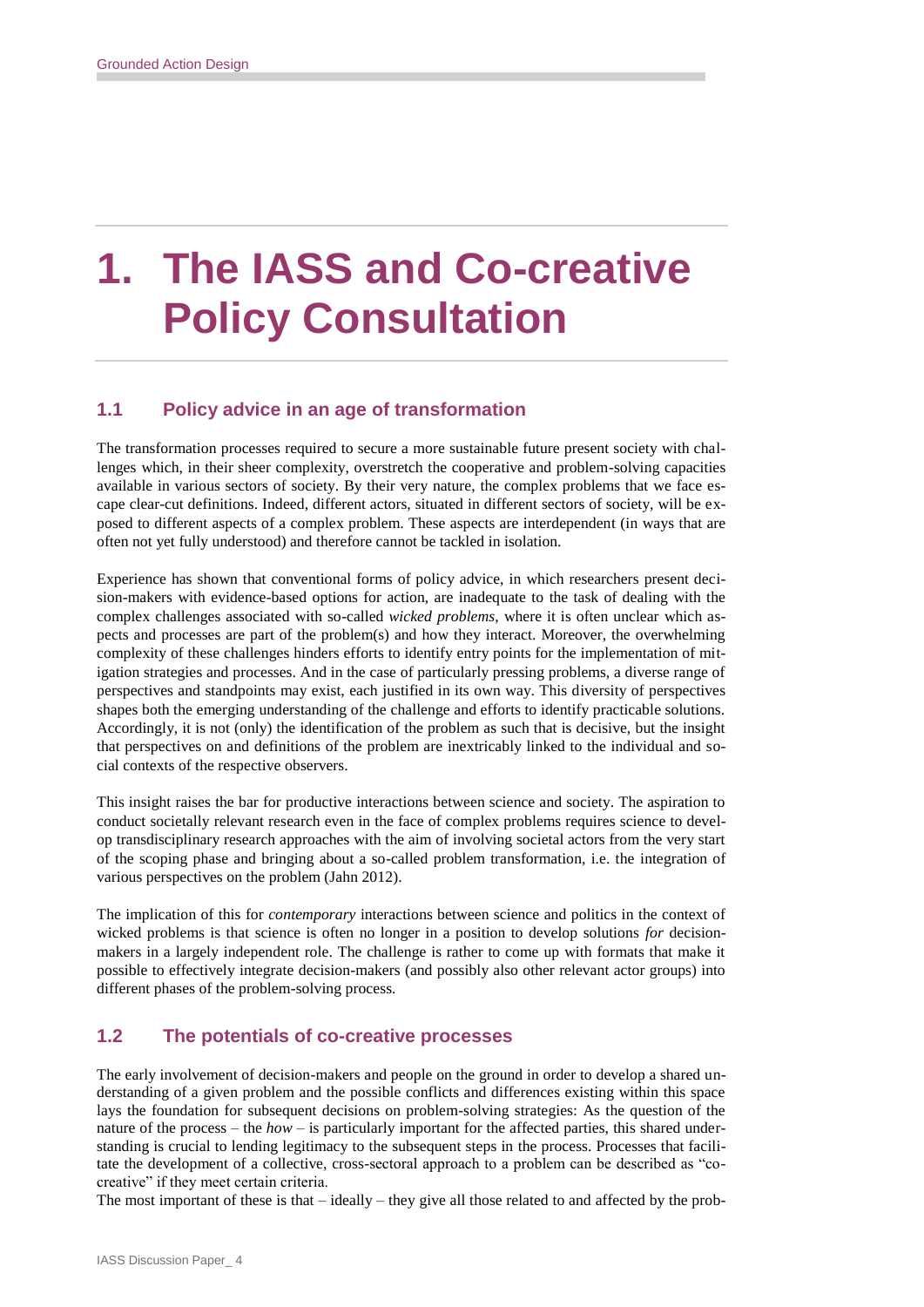# **1. The IASS and Co-creative Policy Consultation**

# **1.1 Policy advice in an age of transformation**

The transformation processes required to secure a more sustainable future present society with challenges which, in their sheer complexity, overstretch the cooperative and problem-solving capacities available in various sectors of society. By their very nature, the complex problems that we face escape clear-cut definitions. Indeed, different actors, situated in different sectors of society, will be exposed to different aspects of a complex problem. These aspects are interdependent (in ways that are often not yet fully understood) and therefore cannot be tackled in isolation.

Experience has shown that conventional forms of policy advice, in which researchers present decision-makers with evidence-based options for action, are inadequate to the task of dealing with the complex challenges associated with so-called *wicked problems*, where it is often unclear which aspects and processes are part of the problem(s) and how they interact. Moreover, the overwhelming complexity of these challenges hinders efforts to identify entry points for the implementation of mitigation strategies and processes. And in the case of particularly pressing problems, a diverse range of perspectives and standpoints may exist, each justified in its own way. This diversity of perspectives shapes both the emerging understanding of the challenge and efforts to identify practicable solutions. Accordingly, it is not (only) the identification of the problem as such that is decisive, but the insight that perspectives on and definitions of the problem are inextricably linked to the individual and social contexts of the respective observers.

This insight raises the bar for productive interactions between science and society. The aspiration to conduct societally relevant research even in the face of complex problems requires science to develop transdisciplinary research approaches with the aim of involving societal actors from the very start of the scoping phase and bringing about a so-called problem transformation, i.e. the integration of various perspectives on the problem (Jahn 2012).

The implication of this for *contemporary* interactions between science and politics in the context of wicked problems is that science is often no longer in a position to develop solutions *for* decisionmakers in a largely independent role. The challenge is rather to come up with formats that make it possible to effectively integrate decision-makers (and possibly also other relevant actor groups) into different phases of the problem-solving process.

# **1.2 The potentials of co-creative processes**

The early involvement of decision-makers and people on the ground in order to develop a shared understanding of a given problem and the possible conflicts and differences existing within this space lays the foundation for subsequent decisions on problem-solving strategies: As the question of the nature of the process – the *how* – is particularly important for the affected parties, this shared understanding is crucial to lending legitimacy to the subsequent steps in the process. Processes that facilitate the development of a collective, cross-sectoral approach to a problem can be described as "cocreative" if they meet certain criteria.

The most important of these is that  $-$  ideally  $-$  they give all those related to and affected by the prob-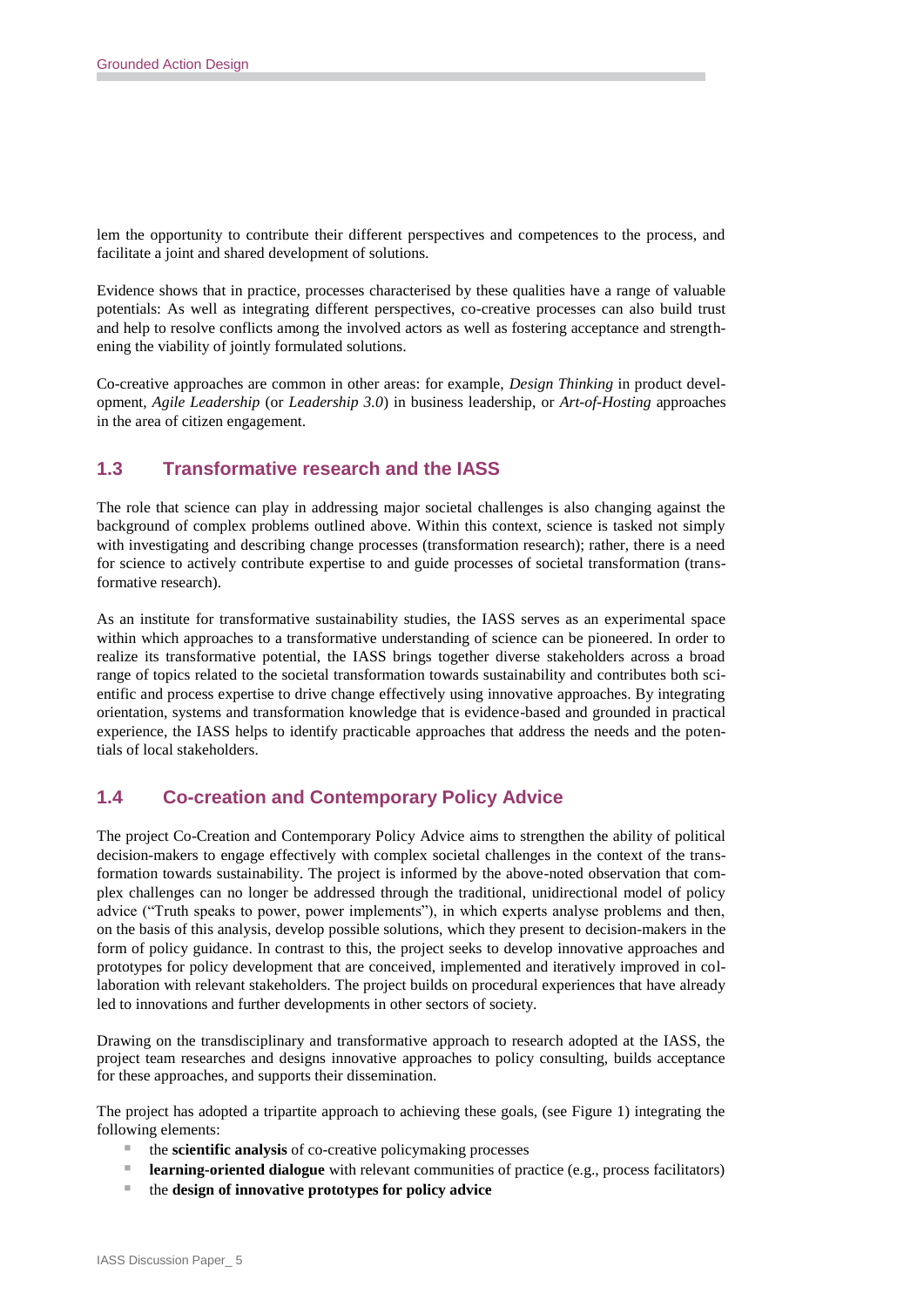lem the opportunity to contribute their different perspectives and competences to the process, and facilitate a joint and shared development of solutions.

Evidence shows that in practice, processes characterised by these qualities have a range of valuable potentials: As well as integrating different perspectives, co-creative processes can also build trust and help to resolve conflicts among the involved actors as well as fostering acceptance and strengthening the viability of jointly formulated solutions.

Co-creative approaches are common in other areas: for example, *Design Thinking* in product development, *Agile Leadership* (or *Leadership 3.0*) in business leadership, or *Art-of-Hosting* approaches in the area of citizen engagement.

### **1.3 Transformative research and the IASS**

The role that science can play in addressing major societal challenges is also changing against the background of complex problems outlined above. Within this context, science is tasked not simply with investigating and describing change processes (transformation research); rather, there is a need for science to actively contribute expertise to and guide processes of societal transformation (transformative research).

As an institute for transformative sustainability studies, the IASS serves as an experimental space within which approaches to a transformative understanding of science can be pioneered. In order to realize its transformative potential, the IASS brings together diverse stakeholders across a broad range of topics related to the societal transformation towards sustainability and contributes both scientific and process expertise to drive change effectively using innovative approaches. By integrating orientation, systems and transformation knowledge that is evidence-based and grounded in practical experience, the IASS helps to identify practicable approaches that address the needs and the potentials of local stakeholders.

### **1.4 Co-creation and Contemporary Policy Advice**

The project Co-Creation and Contemporary Policy Advice aims to strengthen the ability of political decision-makers to engage effectively with complex societal challenges in the context of the transformation towards sustainability. The project is informed by the above-noted observation that complex challenges can no longer be addressed through the traditional, unidirectional model of policy advice ("Truth speaks to power, power implements"), in which experts analyse problems and then, on the basis of this analysis, develop possible solutions, which they present to decision-makers in the form of policy guidance. In contrast to this, the project seeks to develop innovative approaches and prototypes for policy development that are conceived, implemented and iteratively improved in collaboration with relevant stakeholders. The project builds on procedural experiences that have already led to innovations and further developments in other sectors of society.

Drawing on the transdisciplinary and transformative approach to research adopted at the IASS, the project team researches and designs innovative approaches to policy consulting, builds acceptance for these approaches, and supports their dissemination.

The project has adopted a tripartite approach to achieving these goals, (see Figure 1) integrating the following elements:

- the **scientific analysis** of co-creative policymaking processes
- **Learning-oriented dialogue** with relevant communities of practice (e.g., process facilitators)
- the **design of innovative prototypes for policy advice**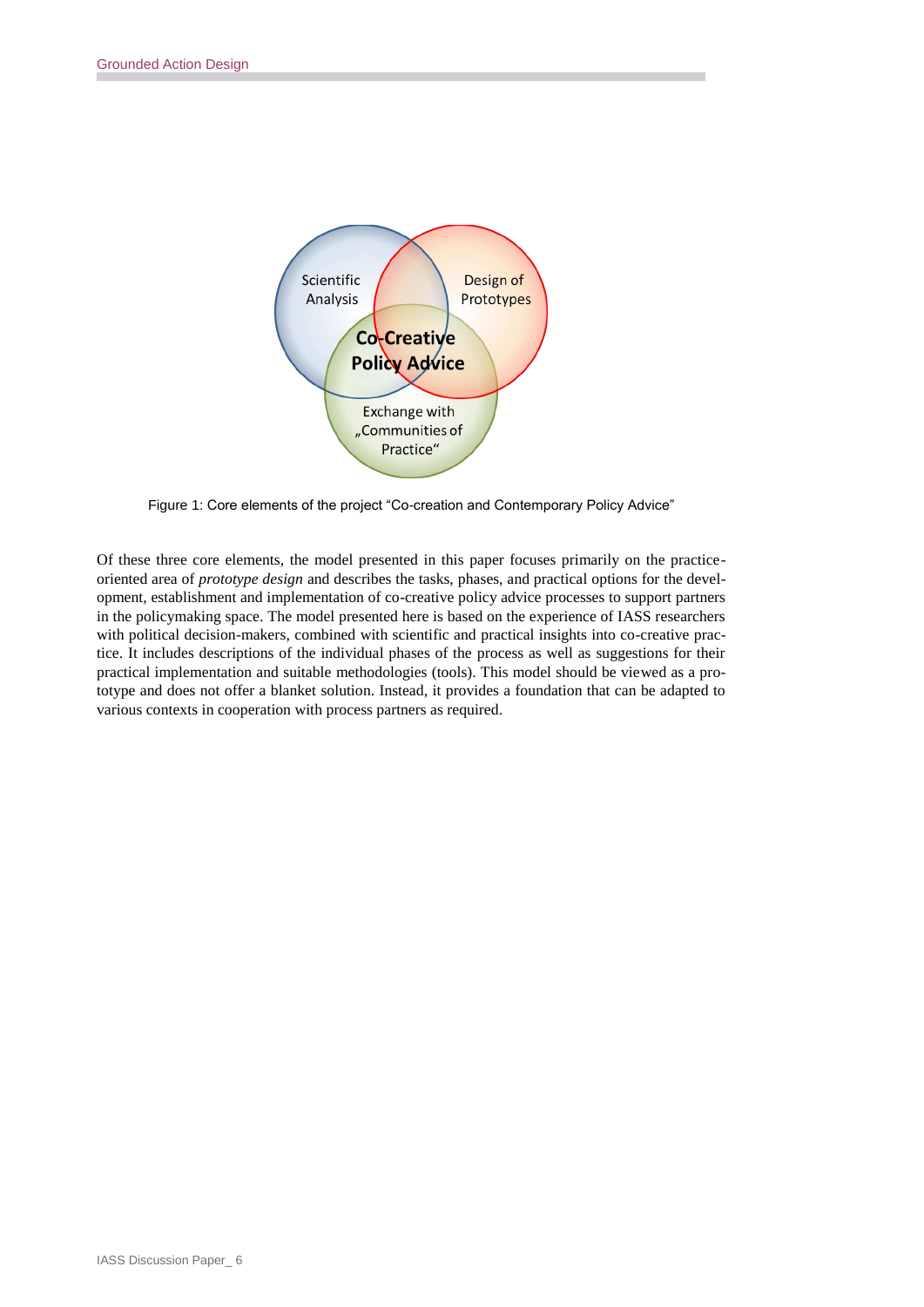

Figure 1: Core elements of the project "Co-creation and Contemporary Policy Advice"

Of these three core elements, the model presented in this paper focuses primarily on the practiceoriented area of *prototype design* and describes the tasks, phases, and practical options for the development, establishment and implementation of co-creative policy advice processes to support partners in the policymaking space. The model presented here is based on the experience of IASS researchers with political decision-makers, combined with scientific and practical insights into co-creative practice. It includes descriptions of the individual phases of the process as well as suggestions for their practical implementation and suitable methodologies (tools). This model should be viewed as a prototype and does not offer a blanket solution. Instead, it provides a foundation that can be adapted to various contexts in cooperation with process partners as required.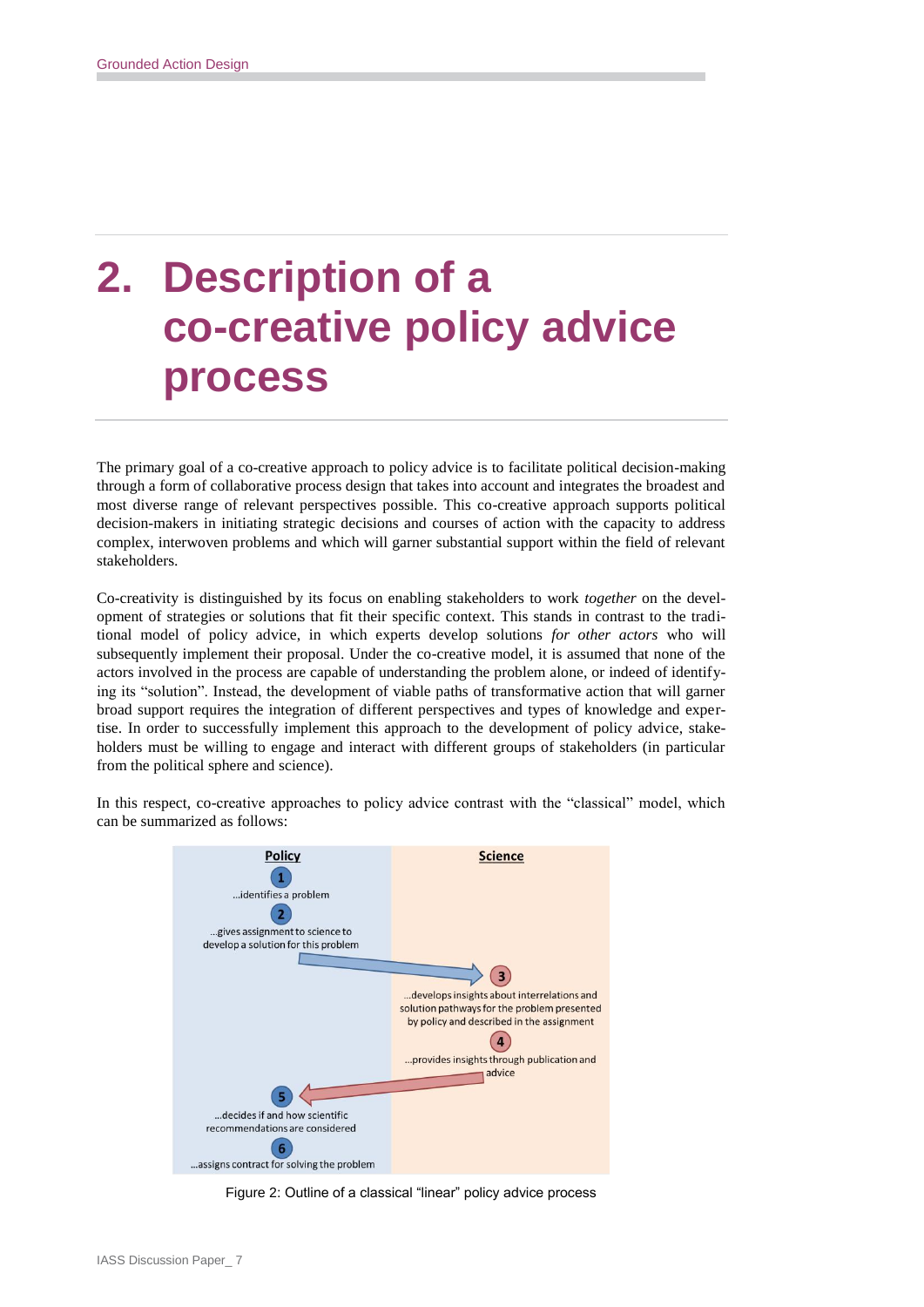# **2. Description of a co-creative policy advice process**

The primary goal of a co-creative approach to policy advice is to facilitate political decision-making through a form of collaborative process design that takes into account and integrates the broadest and most diverse range of relevant perspectives possible. This co-creative approach supports political decision-makers in initiating strategic decisions and courses of action with the capacity to address complex, interwoven problems and which will garner substantial support within the field of relevant stakeholders.

Co-creativity is distinguished by its focus on enabling stakeholders to work *together* on the development of strategies or solutions that fit their specific context. This stands in contrast to the traditional model of policy advice, in which experts develop solutions *for other actors* who will subsequently implement their proposal. Under the co-creative model, it is assumed that none of the actors involved in the process are capable of understanding the problem alone, or indeed of identifying its "solution". Instead, the development of viable paths of transformative action that will garner broad support requires the integration of different perspectives and types of knowledge and expertise. In order to successfully implement this approach to the development of policy advice, stakeholders must be willing to engage and interact with different groups of stakeholders (in particular from the political sphere and science).

In this respect, co-creative approaches to policy advice contrast with the "classical" model, which can be summarized as follows:



Figure 2: Outline of a classical "linear" policy advice process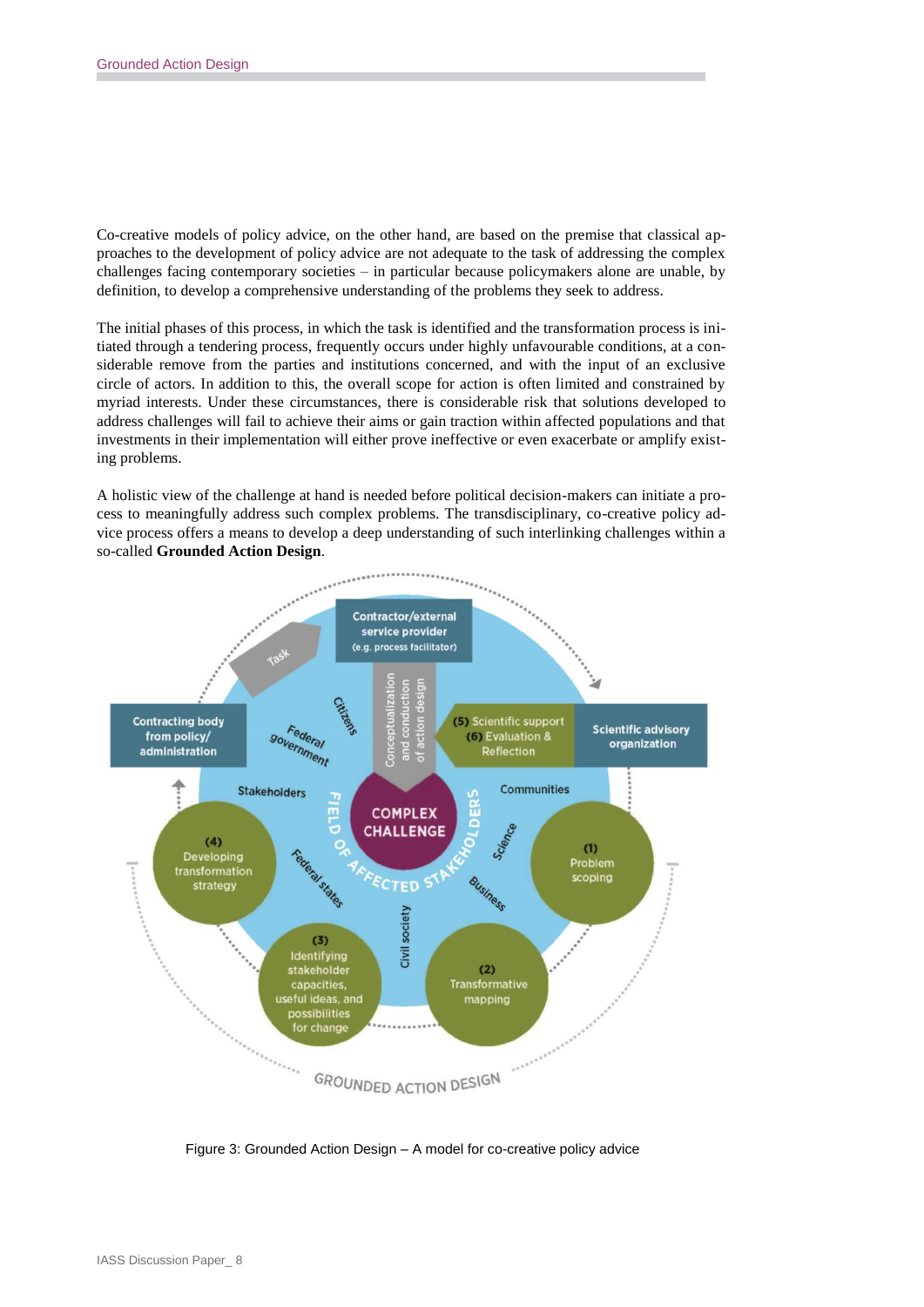Co-creative models of policy advice, on the other hand, are based on the premise that classical approaches to the development of policy advice are not adequate to the task of addressing the complex challenges facing contemporary societies – in particular because policymakers alone are unable, by definition, to develop a comprehensive understanding of the problems they seek to address.

The initial phases of this process, in which the task is identified and the transformation process is initiated through a tendering process, frequently occurs under highly unfavourable conditions, at a considerable remove from the parties and institutions concerned, and with the input of an exclusive circle of actors. In addition to this, the overall scope for action is often limited and constrained by myriad interests. Under these circumstances, there is considerable risk that solutions developed to address challenges will fail to achieve their aims or gain traction within affected populations and that investments in their implementation will either prove ineffective or even exacerbate or amplify existing problems.

A holistic view of the challenge at hand is needed before political decision-makers can initiate a process to meaningfully address such complex problems. The transdisciplinary, co-creative policy advice process offers a means to develop a deep understanding of such interlinking challenges within a so-called **Grounded Action Design**.



Figure 3: Grounded Action Design – A model for co-creative policy advice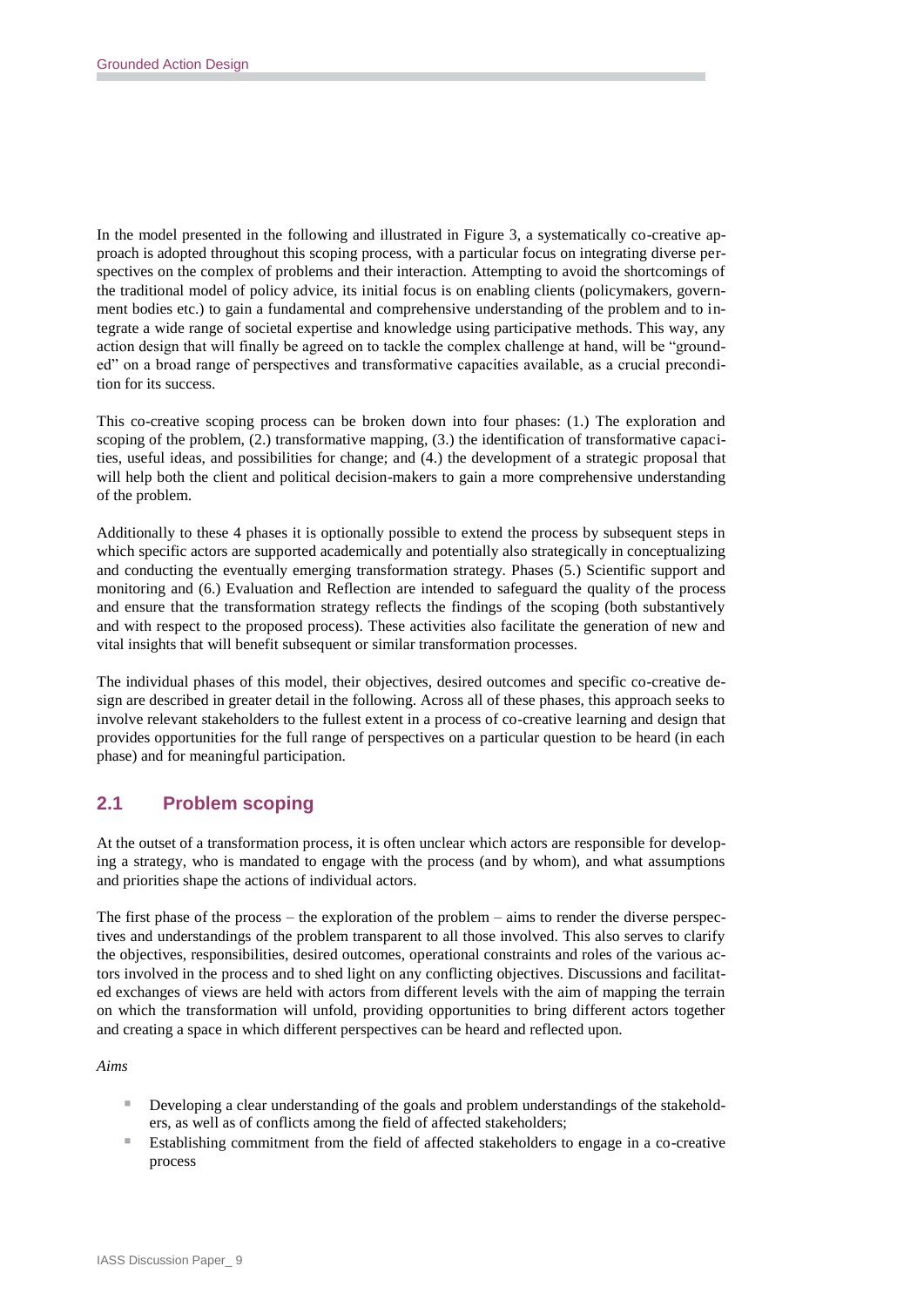In the model presented in the following and illustrated in Figure 3, a systematically co-creative approach is adopted throughout this scoping process, with a particular focus on integrating diverse perspectives on the complex of problems and their interaction. Attempting to avoid the shortcomings of the traditional model of policy advice, its initial focus is on enabling clients (policymakers, government bodies etc.) to gain a fundamental and comprehensive understanding of the problem and to integrate a wide range of societal expertise and knowledge using participative methods. This way, any action design that will finally be agreed on to tackle the complex challenge at hand, will be "grounded" on a broad range of perspectives and transformative capacities available, as a crucial precondition for its success.

This co-creative scoping process can be broken down into four phases: (1.) The exploration and scoping of the problem, (2.) transformative mapping, (3.) the identification of transformative capacities, useful ideas, and possibilities for change; and (4.) the development of a strategic proposal that will help both the client and political decision-makers to gain a more comprehensive understanding of the problem.

Additionally to these 4 phases it is optionally possible to extend the process by subsequent steps in which specific actors are supported academically and potentially also strategically in conceptualizing and conducting the eventually emerging transformation strategy. Phases (5.) Scientific support and monitoring and (6.) Evaluation and Reflection are intended to safeguard the quality of the process and ensure that the transformation strategy reflects the findings of the scoping (both substantively and with respect to the proposed process). These activities also facilitate the generation of new and vital insights that will benefit subsequent or similar transformation processes.

The individual phases of this model, their objectives, desired outcomes and specific co-creative design are described in greater detail in the following. Across all of these phases, this approach seeks to involve relevant stakeholders to the fullest extent in a process of co-creative learning and design that provides opportunities for the full range of perspectives on a particular question to be heard (in each phase) and for meaningful participation.

# **2.1 Problem scoping**

At the outset of a transformation process, it is often unclear which actors are responsible for developing a strategy, who is mandated to engage with the process (and by whom), and what assumptions and priorities shape the actions of individual actors.

The first phase of the process – the exploration of the problem – aims to render the diverse perspectives and understandings of the problem transparent to all those involved. This also serves to clarify the objectives, responsibilities, desired outcomes, operational constraints and roles of the various actors involved in the process and to shed light on any conflicting objectives. Discussions and facilitated exchanges of views are held with actors from different levels with the aim of mapping the terrain on which the transformation will unfold, providing opportunities to bring different actors together and creating a space in which different perspectives can be heard and reflected upon.

*Aims*

- Developing a clear understanding of the goals and problem understandings of the stakeholders, as well as of conflicts among the field of affected stakeholders;
- Establishing commitment from the field of affected stakeholders to engage in a co-creative process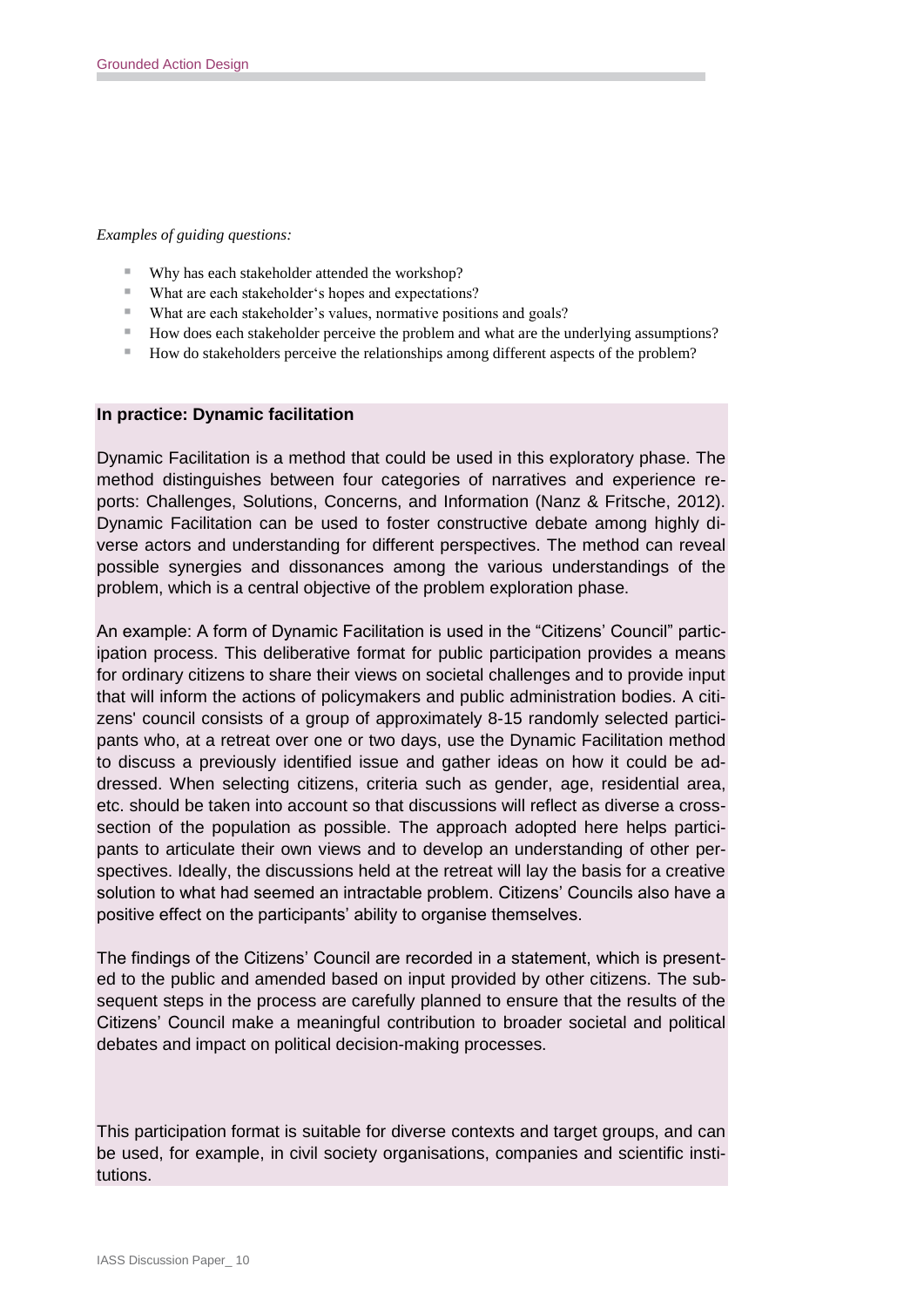#### *Examples of guiding questions:*

- Why has each stakeholder attended the workshop?
- What are each stakeholder's hopes and expectations?
- What are each stakeholder's values, normative positions and goals?
- How does each stakeholder perceive the problem and what are the underlying assumptions?
- How do stakeholders perceive the relationships among different aspects of the problem?

#### **In practice: Dynamic facilitation**

Dynamic Facilitation is a method that could be used in this exploratory phase. The method distinguishes between four categories of narratives and experience reports: Challenges, Solutions, Concerns, and Information (Nanz & Fritsche, 2012). Dynamic Facilitation can be used to foster constructive debate among highly diverse actors and understanding for different perspectives. The method can reveal possible synergies and dissonances among the various understandings of the problem, which is a central objective of the problem exploration phase.

An example: A form of Dynamic Facilitation is used in the "Citizens' Council" participation process. This deliberative format for public participation provides a means for ordinary citizens to share their views on societal challenges and to provide input that will inform the actions of policymakers and public administration bodies. A citizens' council consists of a group of approximately 8-15 randomly selected participants who, at a retreat over one or two days, use the Dynamic Facilitation method to discuss a previously identified issue and gather ideas on how it could be addressed. When selecting citizens, criteria such as gender, age, residential area, etc. should be taken into account so that discussions will reflect as diverse a crosssection of the population as possible. The approach adopted here helps participants to articulate their own views and to develop an understanding of other perspectives. Ideally, the discussions held at the retreat will lay the basis for a creative solution to what had seemed an intractable problem. Citizens' Councils also have a positive effect on the participants' ability to organise themselves.

The findings of the Citizens' Council are recorded in a statement, which is presented to the public and amended based on input provided by other citizens. The subsequent steps in the process are carefully planned to ensure that the results of the Citizens' Council make a meaningful contribution to broader societal and political debates and impact on political decision-making processes.

This participation format is suitable for diverse contexts and target groups, and can be used, for example, in civil society organisations, companies and scientific institutions.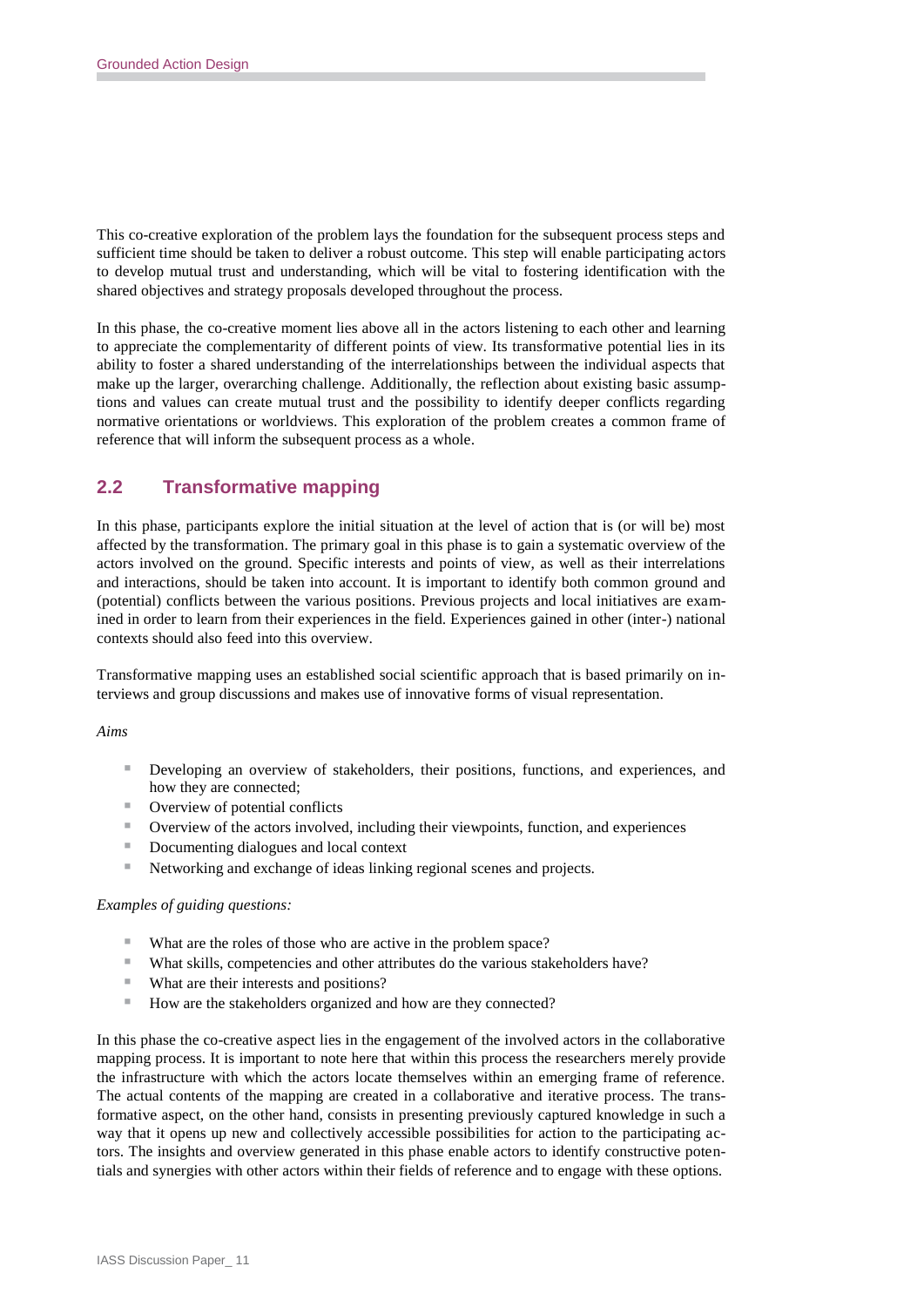This co-creative exploration of the problem lays the foundation for the subsequent process steps and sufficient time should be taken to deliver a robust outcome. This step will enable participating actors to develop mutual trust and understanding, which will be vital to fostering identification with the shared objectives and strategy proposals developed throughout the process.

In this phase, the co-creative moment lies above all in the actors listening to each other and learning to appreciate the complementarity of different points of view. Its transformative potential lies in its ability to foster a shared understanding of the interrelationships between the individual aspects that make up the larger, overarching challenge. Additionally, the reflection about existing basic assumptions and values can create mutual trust and the possibility to identify deeper conflicts regarding normative orientations or worldviews. This exploration of the problem creates a common frame of reference that will inform the subsequent process as a whole.

# **2.2 Transformative mapping**

In this phase, participants explore the initial situation at the level of action that is (or will be) most affected by the transformation. The primary goal in this phase is to gain a systematic overview of the actors involved on the ground. Specific interests and points of view, as well as their interrelations and interactions, should be taken into account. It is important to identify both common ground and (potential) conflicts between the various positions. Previous projects and local initiatives are examined in order to learn from their experiences in the field. Experiences gained in other (inter-) national contexts should also feed into this overview.

Transformative mapping uses an established social scientific approach that is based primarily on interviews and group discussions and makes use of innovative forms of visual representation.

#### *Aims*

- **Developing an overview of stakeholders, their positions, functions, and experiences, and** how they are connected;
- Overview of potential conflicts
- Overview of the actors involved, including their viewpoints, function, and experiences
- Documenting dialogues and local context
- Networking and exchange of ideas linking regional scenes and projects.

#### *Examples of guiding questions:*

- What are the roles of those who are active in the problem space?
- What skills, competencies and other attributes do the various stakeholders have?
- What are their interests and positions?
- How are the stakeholders organized and how are they connected?

In this phase the co-creative aspect lies in the engagement of the involved actors in the collaborative mapping process. It is important to note here that within this process the researchers merely provide the infrastructure with which the actors locate themselves within an emerging frame of reference. The actual contents of the mapping are created in a collaborative and iterative process. The transformative aspect, on the other hand, consists in presenting previously captured knowledge in such a way that it opens up new and collectively accessible possibilities for action to the participating actors. The insights and overview generated in this phase enable actors to identify constructive potentials and synergies with other actors within their fields of reference and to engage with these options.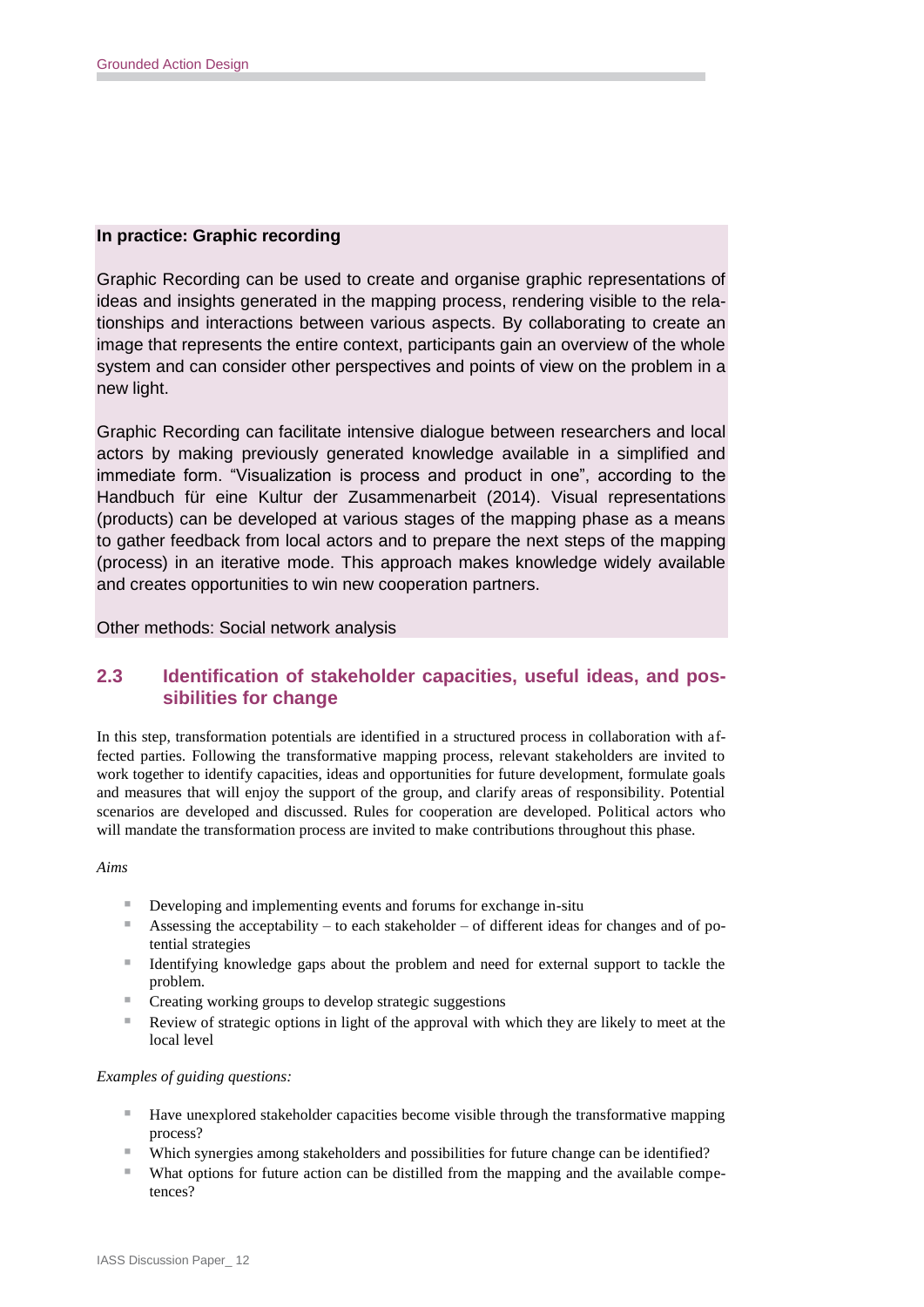#### **In practice: Graphic recording**

Graphic Recording can be used to create and organise graphic representations of ideas and insights generated in the mapping process, rendering visible to the relationships and interactions between various aspects. By collaborating to create an image that represents the entire context, participants gain an overview of the whole system and can consider other perspectives and points of view on the problem in a new light.

Graphic Recording can facilitate intensive dialogue between researchers and local actors by making previously generated knowledge available in a simplified and immediate form. "Visualization is process and product in one", according to the Handbuch für eine Kultur der Zusammenarbeit (2014). Visual representations (products) can be developed at various stages of the mapping phase as a means to gather feedback from local actors and to prepare the next steps of the mapping (process) in an iterative mode. This approach makes knowledge widely available and creates opportunities to win new cooperation partners.

Other methods: Social network analysis

### **2.3 Identification of stakeholder capacities, useful ideas, and possibilities for change**

In this step, transformation potentials are identified in a structured process in collaboration with affected parties. Following the transformative mapping process, relevant stakeholders are invited to work together to identify capacities, ideas and opportunities for future development, formulate goals and measures that will enjoy the support of the group, and clarify areas of responsibility. Potential scenarios are developed and discussed. Rules for cooperation are developed. Political actors who will mandate the transformation process are invited to make contributions throughout this phase.

#### *Aims*

- Developing and implementing events and forums for exchange in-situ
- Assessing the acceptability to each stakeholder of different ideas for changes and of potential strategies
- I dentifying knowledge gaps about the problem and need for external support to tackle the problem.
- Creating working groups to develop strategic suggestions
- Review of strategic options in light of the approval with which they are likely to meet at the local level

#### *Examples of guiding questions:*

- Have unexplored stakeholder capacities become visible through the transformative mapping process?
- Which synergies among stakeholders and possibilities for future change can be identified?
- What options for future action can be distilled from the mapping and the available competences?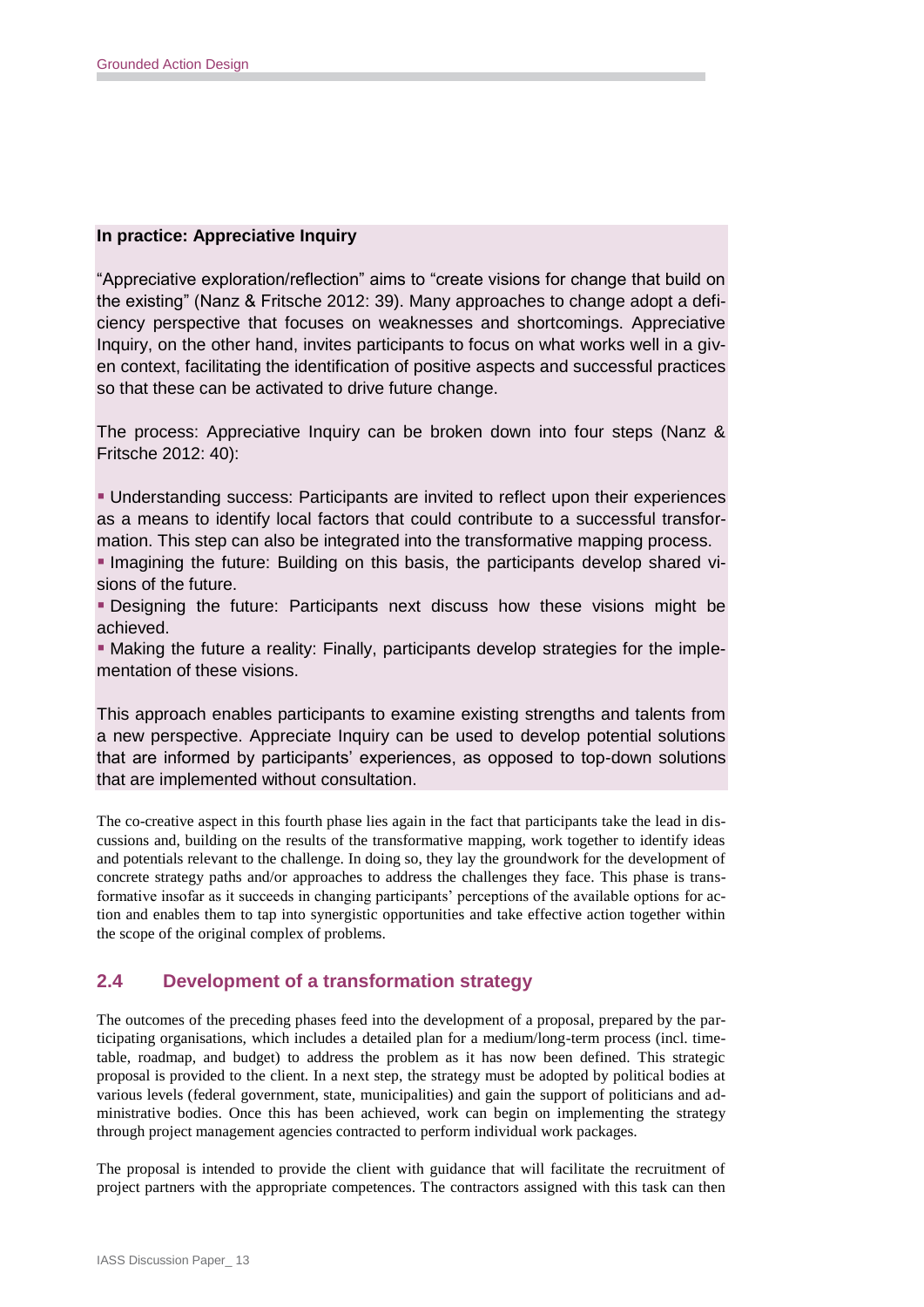### **In practice: Appreciative Inquiry**

"Appreciative exploration/reflection" aims to "create visions for change that build on the existing" (Nanz & Fritsche 2012: 39). Many approaches to change adopt a deficiency perspective that focuses on weaknesses and shortcomings. Appreciative Inquiry, on the other hand, invites participants to focus on what works well in a given context, facilitating the identification of positive aspects and successful practices so that these can be activated to drive future change.

The process: Appreciative Inquiry can be broken down into four steps (Nanz & Fritsche 2012: 40):

 Understanding success: Participants are invited to reflect upon their experiences as a means to identify local factors that could contribute to a successful transformation. This step can also be integrated into the transformative mapping process.

Imagining the future: Building on this basis, the participants develop shared visions of the future.

 Designing the future: Participants next discuss how these visions might be achieved.

 Making the future a reality: Finally, participants develop strategies for the implementation of these visions.

This approach enables participants to examine existing strengths and talents from a new perspective. Appreciate Inquiry can be used to develop potential solutions that are informed by participants' experiences, as opposed to top-down solutions that are implemented without consultation.

The co-creative aspect in this fourth phase lies again in the fact that participants take the lead in discussions and, building on the results of the transformative mapping, work together to identify ideas and potentials relevant to the challenge. In doing so, they lay the groundwork for the development of concrete strategy paths and/or approaches to address the challenges they face. This phase is transformative insofar as it succeeds in changing participants' perceptions of the available options for action and enables them to tap into synergistic opportunities and take effective action together within the scope of the original complex of problems.

### **2.4 Development of a transformation strategy**

The outcomes of the preceding phases feed into the development of a proposal, prepared by the participating organisations, which includes a detailed plan for a medium/long-term process (incl. timetable, roadmap, and budget) to address the problem as it has now been defined. This strategic proposal is provided to the client. In a next step, the strategy must be adopted by political bodies at various levels (federal government, state, municipalities) and gain the support of politicians and administrative bodies. Once this has been achieved, work can begin on implementing the strategy through project management agencies contracted to perform individual work packages.

The proposal is intended to provide the client with guidance that will facilitate the recruitment of project partners with the appropriate competences. The contractors assigned with this task can then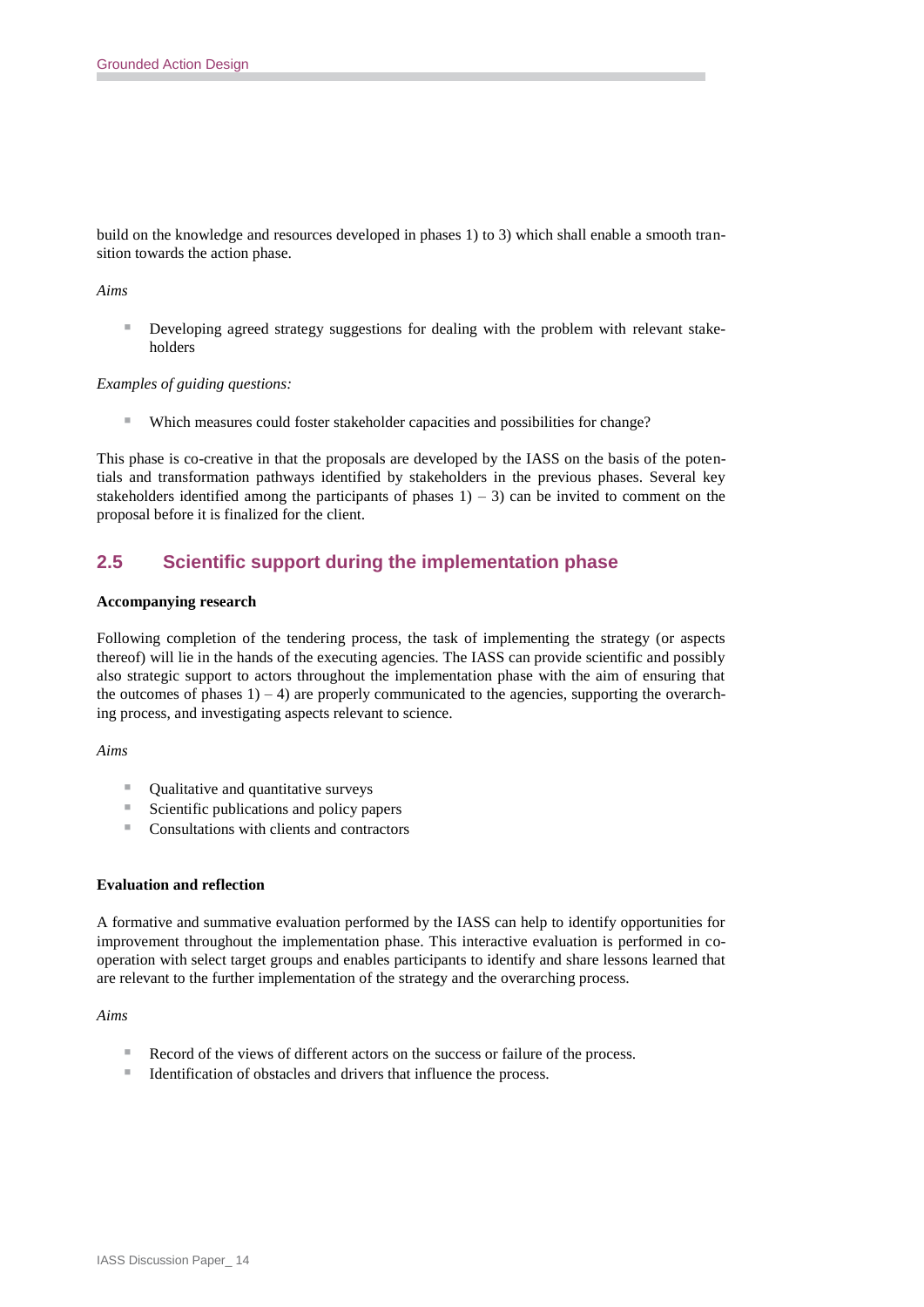build on the knowledge and resources developed in phases 1) to 3) which shall enable a smooth transition towards the action phase.

#### *Aims*

**Developing agreed strategy suggestions for dealing with the problem with relevant stake**holders

#### *Examples of guiding questions:*

Which measures could foster stakeholder capacities and possibilities for change?

This phase is co-creative in that the proposals are developed by the IASS on the basis of the potentials and transformation pathways identified by stakeholders in the previous phases. Several key stakeholders identified among the participants of phases  $1$ ) – 3) can be invited to comment on the proposal before it is finalized for the client.

### **2.5 Scientific support during the implementation phase**

#### **Accompanying research**

Following completion of the tendering process, the task of implementing the strategy (or aspects thereof) will lie in the hands of the executing agencies. The IASS can provide scientific and possibly also strategic support to actors throughout the implementation phase with the aim of ensuring that the outcomes of phases  $1$ ) – 4) are properly communicated to the agencies, supporting the overarching process, and investigating aspects relevant to science.

#### *Aims*

- Qualitative and quantitative surveys
- $\blacksquare$  Scientific publications and policy papers
- Consultations with clients and contractors

#### **Evaluation and reflection**

A formative and summative evaluation performed by the IASS can help to identify opportunities for improvement throughout the implementation phase. This interactive evaluation is performed in cooperation with select target groups and enables participants to identify and share lessons learned that are relevant to the further implementation of the strategy and the overarching process.

#### *Aims*

- Record of the views of different actors on the success or failure of the process.
- Identification of obstacles and drivers that influence the process.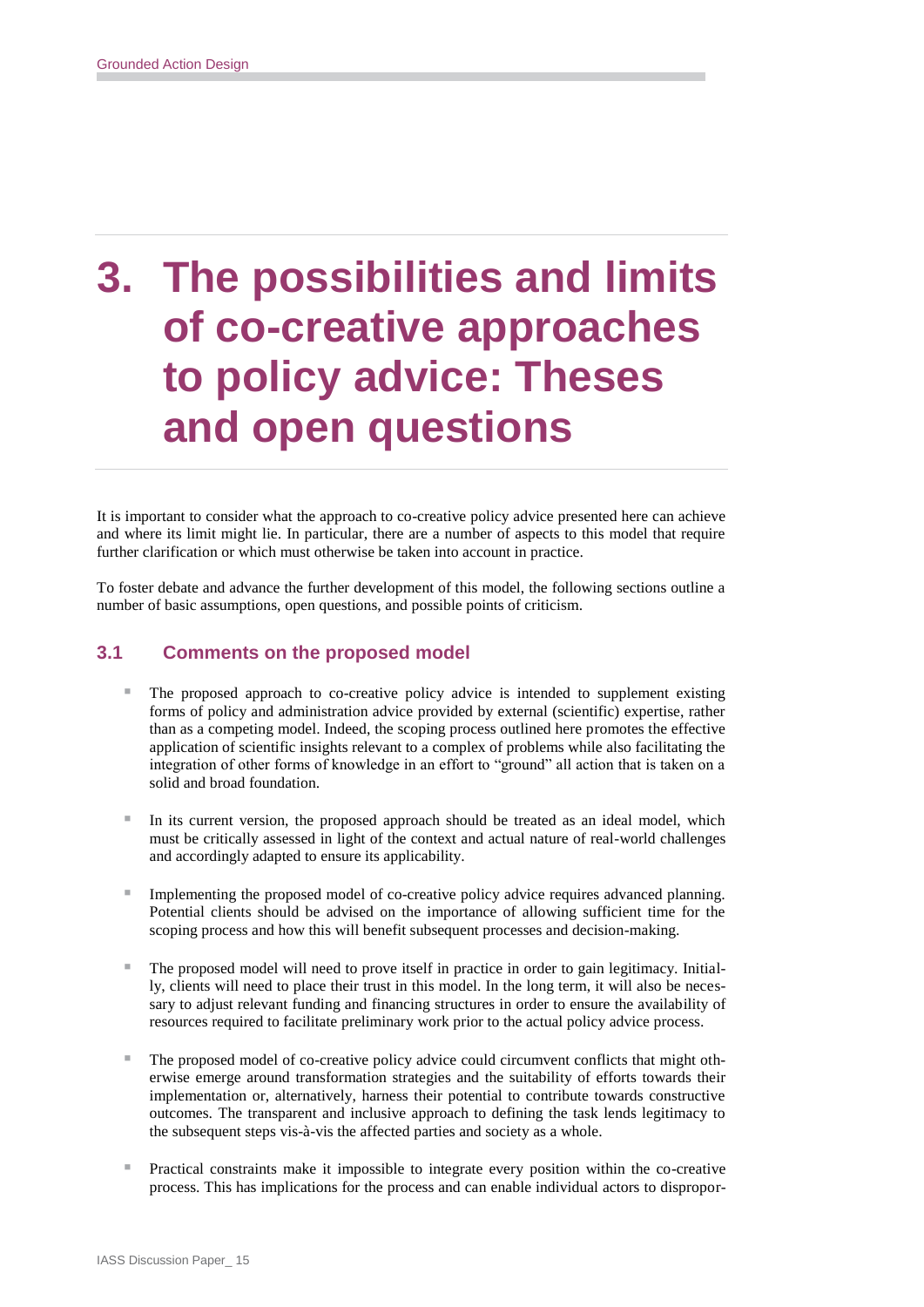# **3. The possibilities and limits of co-creative approaches to policy advice: Theses and open questions**

It is important to consider what the approach to co-creative policy advice presented here can achieve and where its limit might lie. In particular, there are a number of aspects to this model that require further clarification or which must otherwise be taken into account in practice.

To foster debate and advance the further development of this model, the following sections outline a number of basic assumptions, open questions, and possible points of criticism.

### **3.1 Comments on the proposed model**

- The proposed approach to co-creative policy advice is intended to supplement existing forms of policy and administration advice provided by external (scientific) expertise, rather than as a competing model. Indeed, the scoping process outlined here promotes the effective application of scientific insights relevant to a complex of problems while also facilitating the integration of other forms of knowledge in an effort to "ground" all action that is taken on a solid and broad foundation.
- $\blacksquare$  In its current version, the proposed approach should be treated as an ideal model, which must be critically assessed in light of the context and actual nature of real-world challenges and accordingly adapted to ensure its applicability.
- Implementing the proposed model of co-creative policy advice requires advanced planning. Potential clients should be advised on the importance of allowing sufficient time for the scoping process and how this will benefit subsequent processes and decision-making.
- The proposed model will need to prove itself in practice in order to gain legitimacy. Initially, clients will need to place their trust in this model. In the long term, it will also be necessary to adjust relevant funding and financing structures in order to ensure the availability of resources required to facilitate preliminary work prior to the actual policy advice process.
- The proposed model of co-creative policy advice could circumvent conflicts that might otherwise emerge around transformation strategies and the suitability of efforts towards their implementation or, alternatively, harness their potential to contribute towards constructive outcomes. The transparent and inclusive approach to defining the task lends legitimacy to the subsequent steps vis-à-vis the affected parties and society as a whole.
- Practical constraints make it impossible to integrate every position within the co-creative process. This has implications for the process and can enable individual actors to dispropor-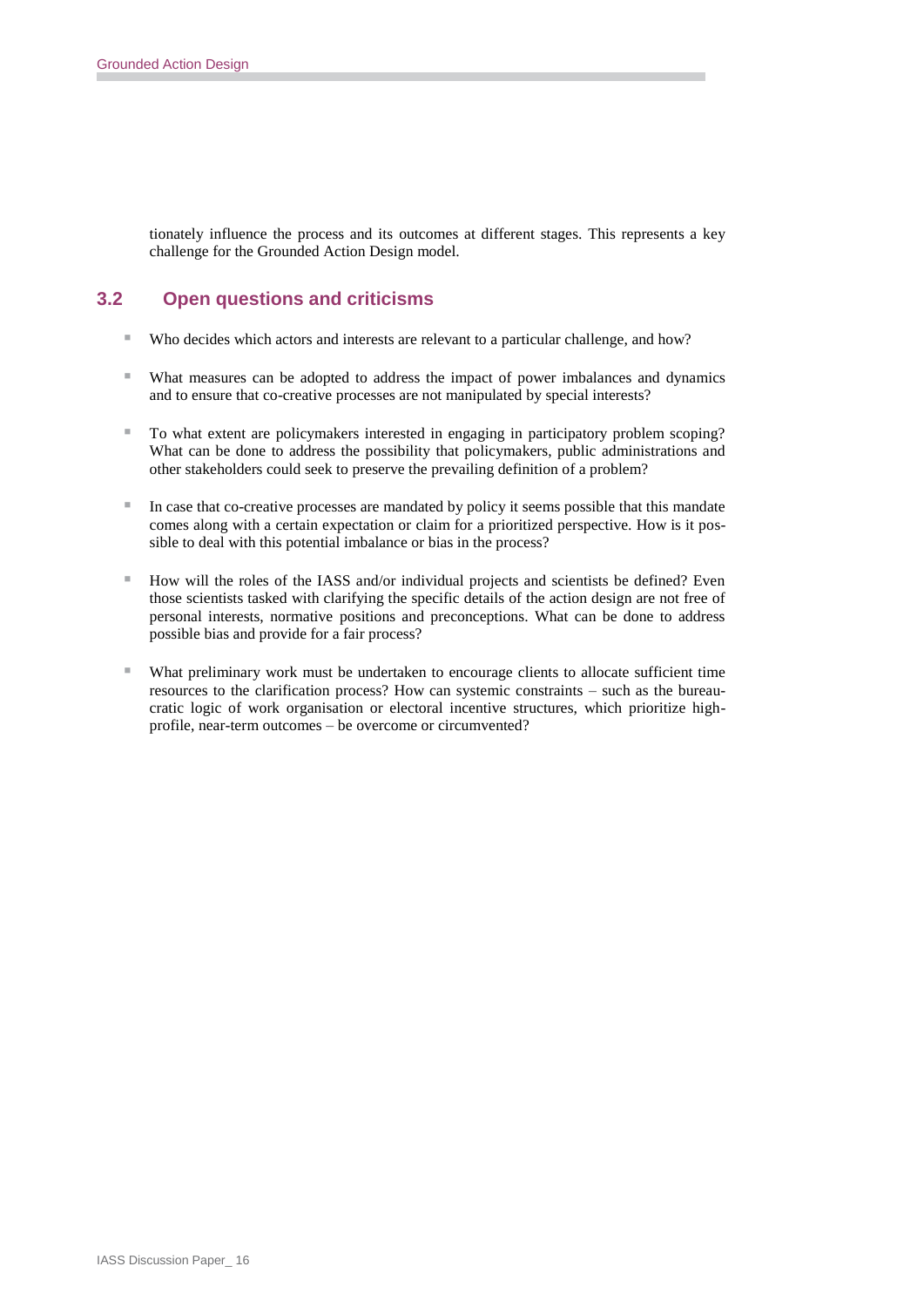tionately influence the process and its outcomes at different stages. This represents a key challenge for the Grounded Action Design model.

### **3.2 Open questions and criticisms**

- Who decides which actors and interests are relevant to a particular challenge, and how?
- What measures can be adopted to address the impact of power imbalances and dynamics and to ensure that co-creative processes are not manipulated by special interests?
- To what extent are policymakers interested in engaging in participatory problem scoping? What can be done to address the possibility that policymakers, public administrations and other stakeholders could seek to preserve the prevailing definition of a problem?
- In case that co-creative processes are mandated by policy it seems possible that this mandate comes along with a certain expectation or claim for a prioritized perspective. How is it possible to deal with this potential imbalance or bias in the process?
- $\blacksquare$  How will the roles of the IASS and/or individual projects and scientists be defined? Even those scientists tasked with clarifying the specific details of the action design are not free of personal interests, normative positions and preconceptions. What can be done to address possible bias and provide for a fair process?
- What preliminary work must be undertaken to encourage clients to allocate sufficient time resources to the clarification process? How can systemic constraints – such as the bureaucratic logic of work organisation or electoral incentive structures, which prioritize highprofile, near-term outcomes – be overcome or circumvented?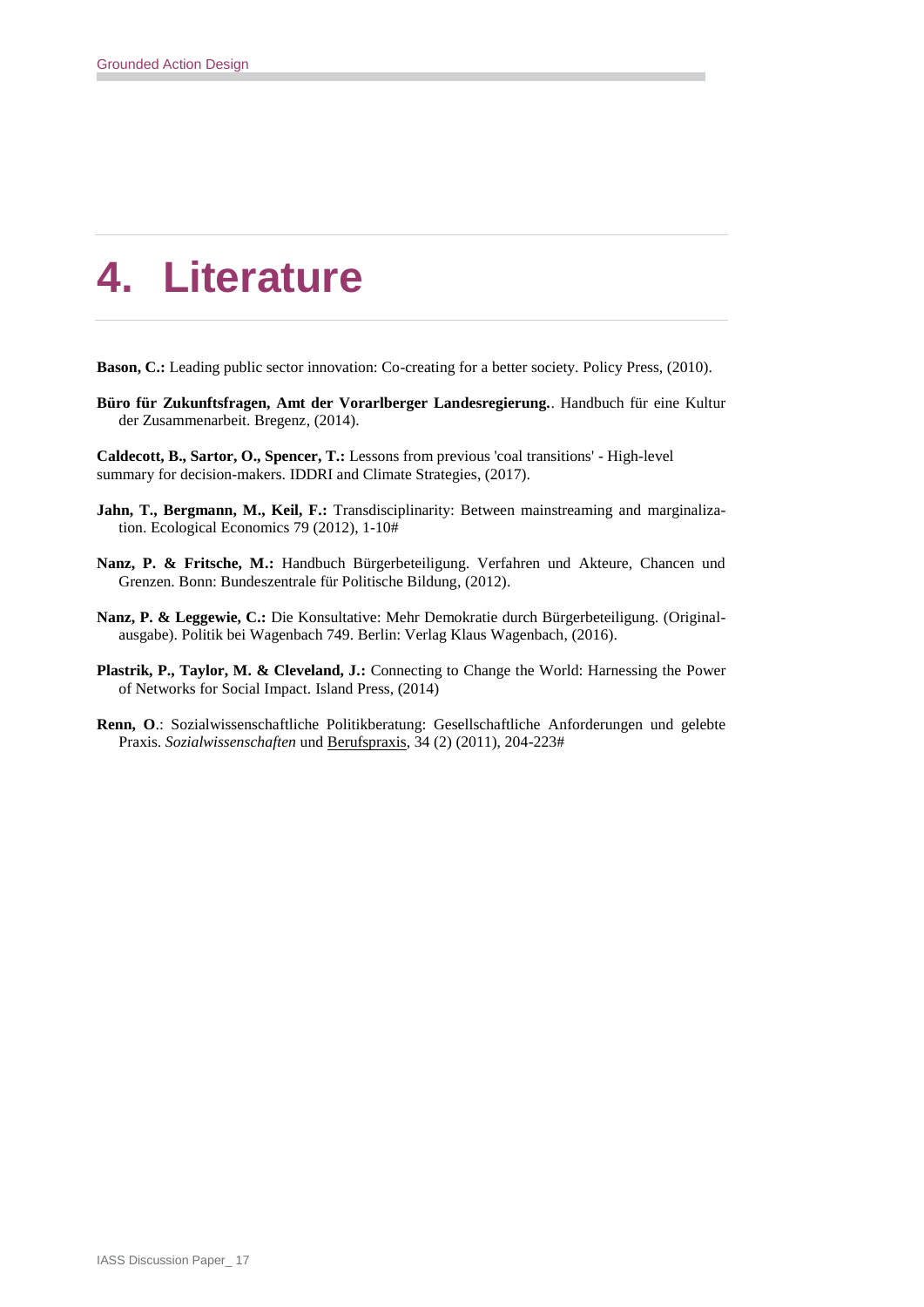# **4. Literature**

- **Bason, C.:** Leading public sector innovation: Co-creating for a better society. Policy Press, (2010).
- **Büro für Zukunftsfragen, Amt der Vorarlberger Landesregierung.**. Handbuch für eine Kultur der Zusammenarbeit. Bregenz, (2014).
- **Caldecott, B., Sartor, O., Spencer, T.:** Lessons from previous 'coal transitions' High-level summary for decision-makers. IDDRI and Climate Strategies, (2017).
- **Jahn, T., Bergmann, M., Keil, F.:** Transdisciplinarity: Between mainstreaming and marginalization. Ecological Economics 79 (2012), 1-10#
- **Nanz, P. & Fritsche, M.:** Handbuch Bürgerbeteiligung. Verfahren und Akteure, Chancen und Grenzen. Bonn: Bundeszentrale für Politische Bildung, (2012).
- **Nanz, P. & Leggewie, C.:** Die Konsultative: Mehr Demokratie durch Bürgerbeteiligung. (Originalausgabe). Politik bei Wagenbach 749. Berlin: Verlag Klaus Wagenbach, (2016).
- **Plastrik, P., Taylor, M. & Cleveland, J.:** Connecting to Change the World: Harnessing the Power of Networks for Social Impact. Island Press, (2014)
- **Renn, O**.: Sozialwissenschaftliche Politikberatung: Gesellschaftliche Anforderungen und gelebte Praxis. *Sozialwissenschaften* und Berufspraxis, 34 (2) (2011), 204-223#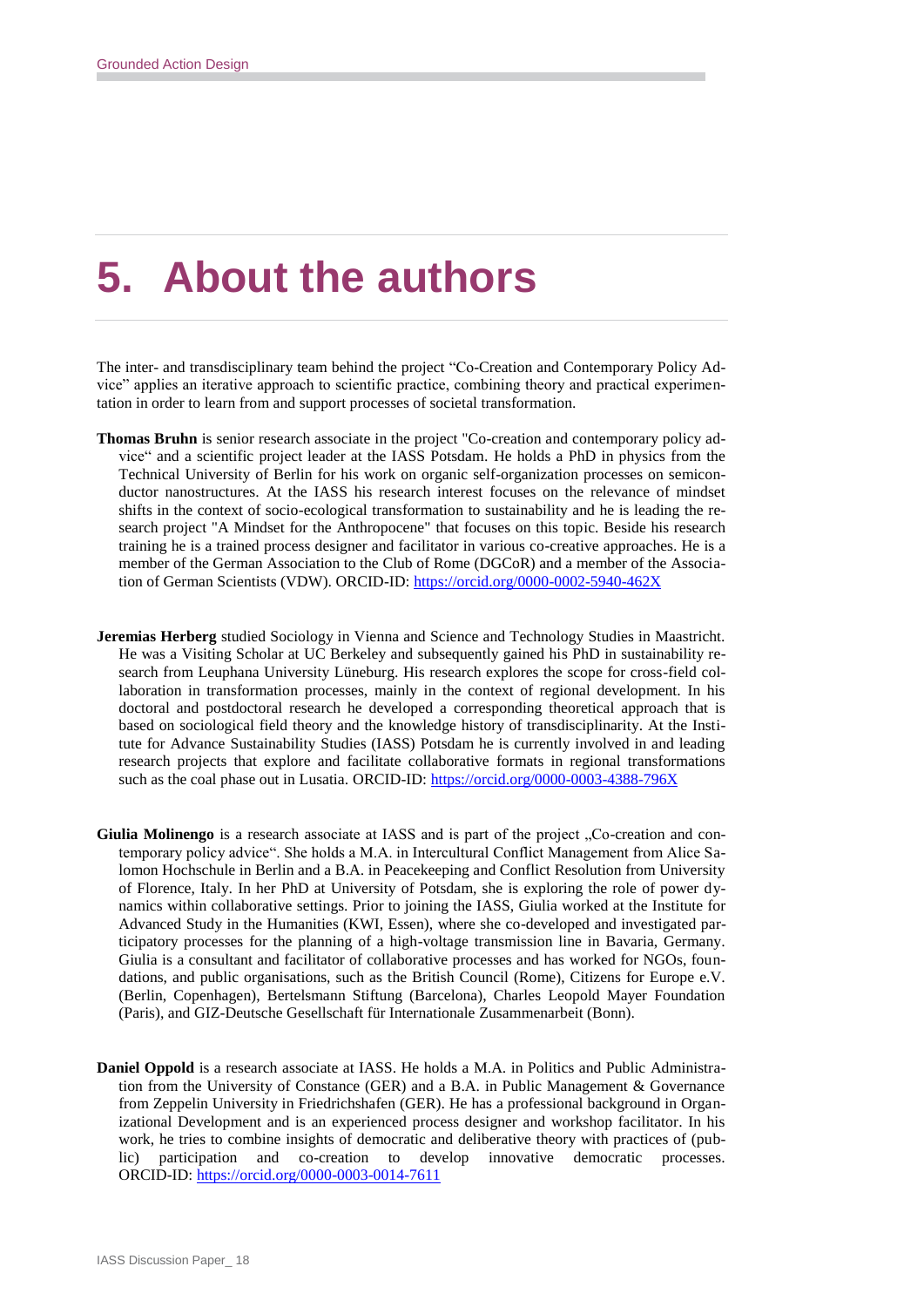# **5. About the authors**

The inter- and transdisciplinary team behind the project "Co-Creation and Contemporary Policy Advice" applies an iterative approach to scientific practice, combining theory and practical experimentation in order to learn from and support processes of societal transformation.

- **Thomas Bruhn** is senior research associate in the project "Co-creation and contemporary policy advice" and a scientific project leader at the IASS Potsdam. He holds a PhD in physics from the Technical University of Berlin for his work on organic self-organization processes on semiconductor nanostructures. At the IASS his research interest focuses on the relevance of mindset shifts in the context of socio-ecological transformation to sustainability and he is leading the research project "A Mindset for the Anthropocene" that focuses on this topic. Beside his research training he is a trained process designer and facilitator in various co-creative approaches. He is a member of the German Association to the Club of Rome (DGCoR) and a member of the Association of German Scientists (VDW). ORCID-ID:<https://orcid.org/0000-0002-5940-462X>
- **Jeremias Herberg** studied Sociology in Vienna and Science and Technology Studies in Maastricht. He was a Visiting Scholar at UC Berkeley and subsequently gained his PhD in sustainability research from Leuphana University Lüneburg. His research explores the scope for cross-field collaboration in transformation processes, mainly in the context of regional development. In his doctoral and postdoctoral research he developed a corresponding theoretical approach that is based on sociological field theory and the knowledge history of transdisciplinarity. At the Institute for Advance Sustainability Studies (IASS) Potsdam he is currently involved in and leading research projects that explore and facilitate collaborative formats in regional transformations such as the coal phase out in Lusatia. ORCID-ID[: https://orcid.org/0000-0003-4388-796X](https://orcid.org/0000-0003-4388-796X)
- Giulia Molinengo is a research associate at IASS and is part of the project  $\alpha$ . Co-creation and contemporary policy advice". She holds a M.A. in Intercultural Conflict Management from Alice Salomon Hochschule in Berlin and a B.A. in Peacekeeping and Conflict Resolution from University of Florence, Italy. In her PhD at University of Potsdam, she is exploring the role of power dynamics within collaborative settings. Prior to joining the IASS, Giulia worked at the Institute for Advanced Study in the Humanities (KWI, Essen), where she co-developed and investigated participatory processes for the planning of a high-voltage transmission line in Bavaria, Germany. Giulia is a consultant and facilitator of collaborative processes and has worked for NGOs, foundations, and public organisations, such as the British Council (Rome), Citizens for Europe e.V. (Berlin, Copenhagen), Bertelsmann Stiftung (Barcelona), Charles Leopold Mayer Foundation (Paris), and GIZ-Deutsche Gesellschaft für Internationale Zusammenarbeit (Bonn).
- **Daniel Oppold** is a research associate at IASS. He holds a M.A. in Politics and Public Administration from the University of Constance (GER) and a B.A. in Public Management & Governance from Zeppelin University in Friedrichshafen (GER). He has a professional background in Organizational Development and is an experienced process designer and workshop facilitator. In his work, he tries to combine insights of democratic and deliberative theory with practices of (public) participation and co-creation to develop innovative democratic processes. ORCID-ID:<https://orcid.org/0000-0003-0014-7611>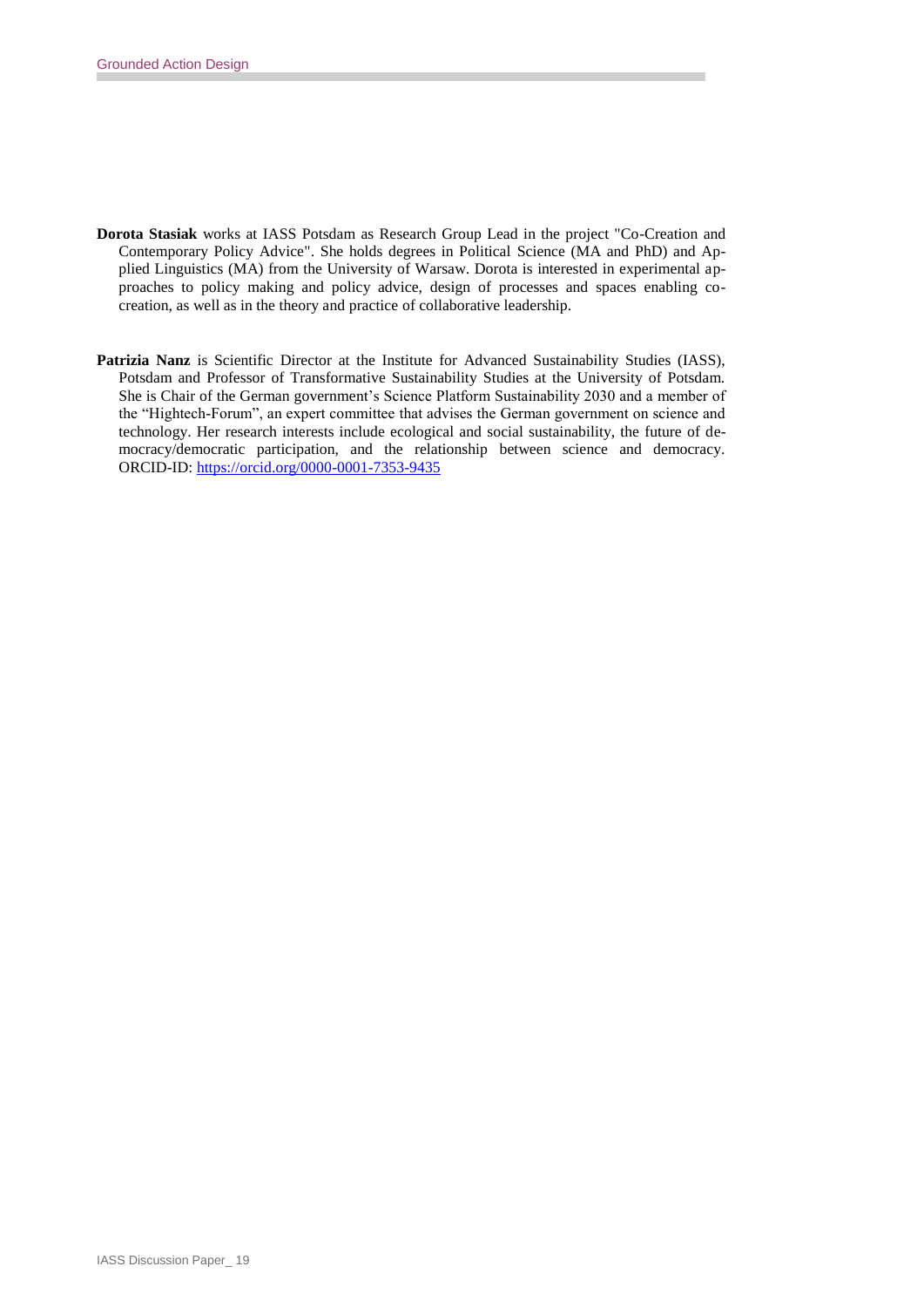- **Dorota Stasiak** works at IASS Potsdam as Research Group Lead in the project "Co-Creation and Contemporary Policy Advice". She holds degrees in Political Science (MA and PhD) and Applied Linguistics (MA) from the University of Warsaw. Dorota is interested in experimental approaches to policy making and policy advice, design of processes and spaces enabling cocreation, as well as in the theory and practice of collaborative leadership.
- **Patrizia Nanz** is Scientific Director at the Institute for Advanced Sustainability Studies (IASS), Potsdam and Professor of Transformative Sustainability Studies at the University of Potsdam. She is Chair of the German government's Science Platform Sustainability 2030 and a member of the "Hightech-Forum", an expert committee that advises the German government on science and technology. Her research interests include ecological and social sustainability, the future of democracy/democratic participation, and the relationship between science and democracy. ORCID-ID:<https://orcid.org/0000-0001-7353-9435>